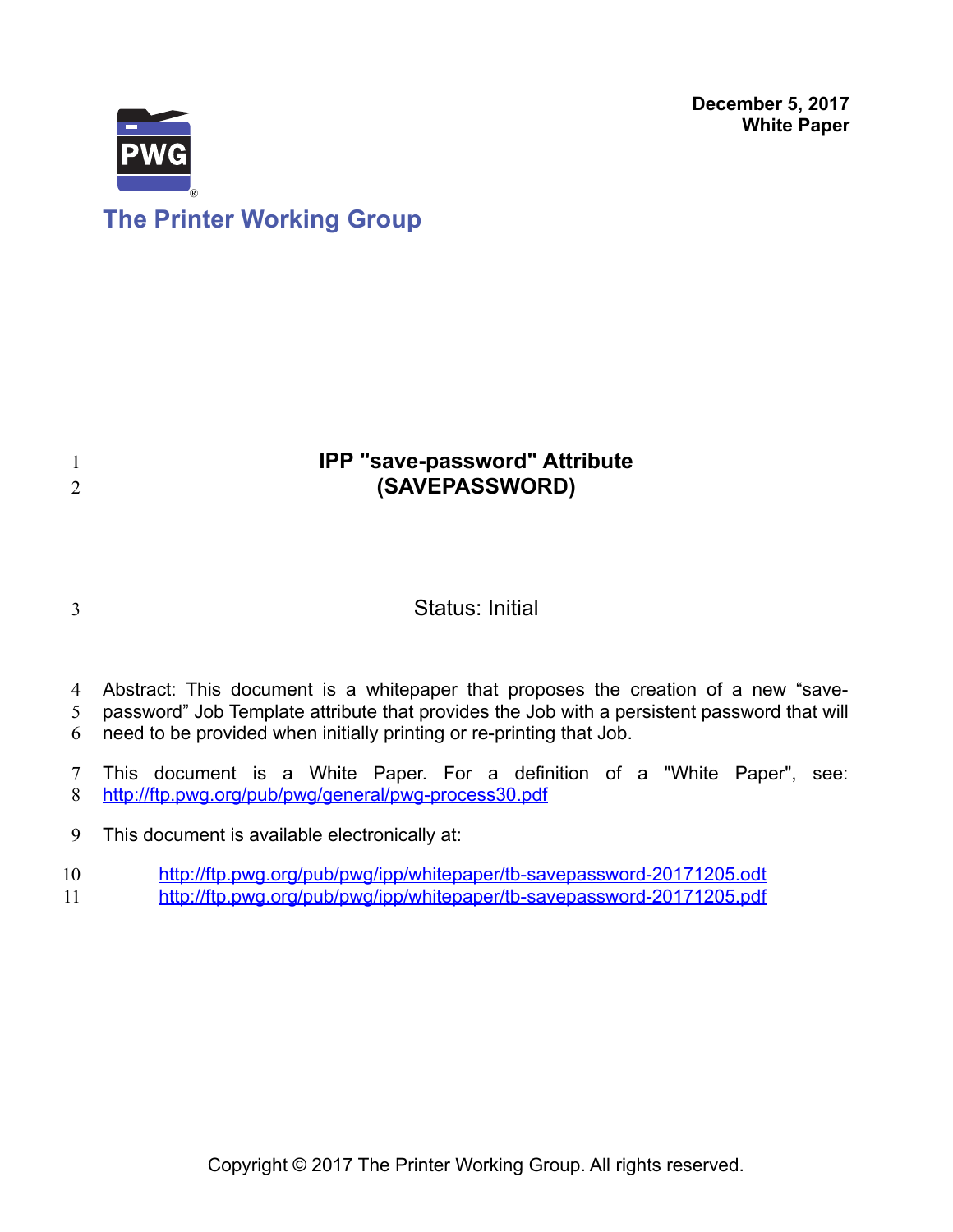**December 5, 2017 White Paper**



# **The Printer Working Group**

## **IPP "save-password" Attribute (SAVEPASSWORD)** 1 2

3

## Status: Initial

- Abstract: This document is a whitepaper that proposes the creation of a new "save-4
- password" Job Template attribute that provides the Job with a persistent password that will 5
- need to be provided when initially printing or re-printing that Job. 6
- This document is a White Paper. For a definition of a "White Paper", see: <http://ftp.pwg.org/pub/pwg/general/pwg-process30.pdf> 7 8
- This document is available electronically at: 9
- <http://ftp.pwg.org/pub/pwg/ipp/whitepaper/tb-savepassword-20171205.odt> 10
- <http://ftp.pwg.org/pub/pwg/ipp/whitepaper/tb-savepassword-20171205.pdf> 11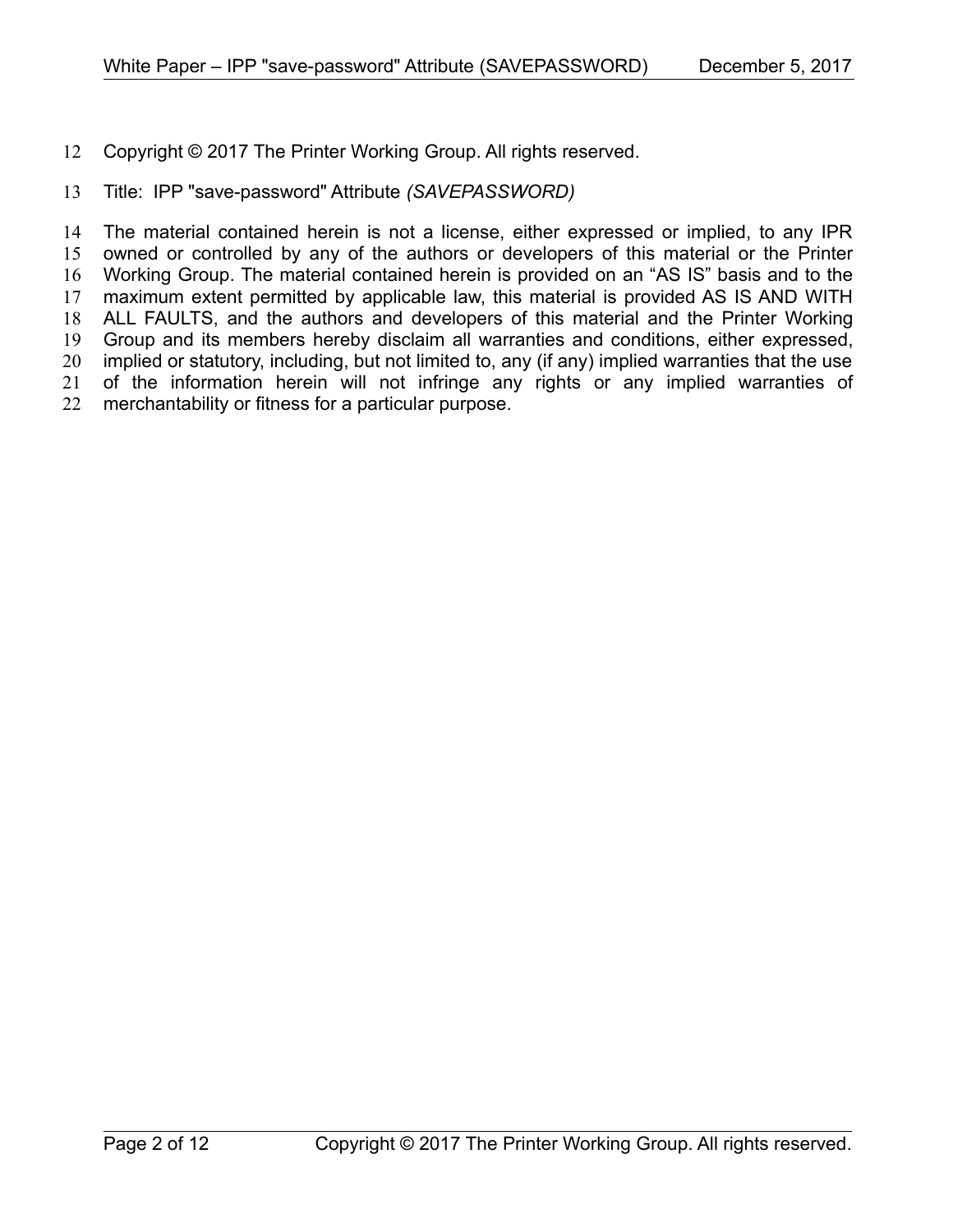Copyright © 2017 The Printer Working Group. All rights reserved. 12

#### Title: IPP "save-password" Attribute *(SAVEPASSWORD)* 13

The material contained herein is not a license, either expressed or implied, to any IPR owned or controlled by any of the authors or developers of this material or the Printer Working Group. The material contained herein is provided on an "AS IS" basis and to the maximum extent permitted by applicable law, this material is provided AS IS AND WITH ALL FAULTS, and the authors and developers of this material and the Printer Working Group and its members hereby disclaim all warranties and conditions, either expressed, implied or statutory, including, but not limited to, any (if any) implied warranties that the use of the information herein will not infringe any rights or any implied warranties of merchantability or fitness for a particular purpose. 14 15 16 17 18 19 20 21 22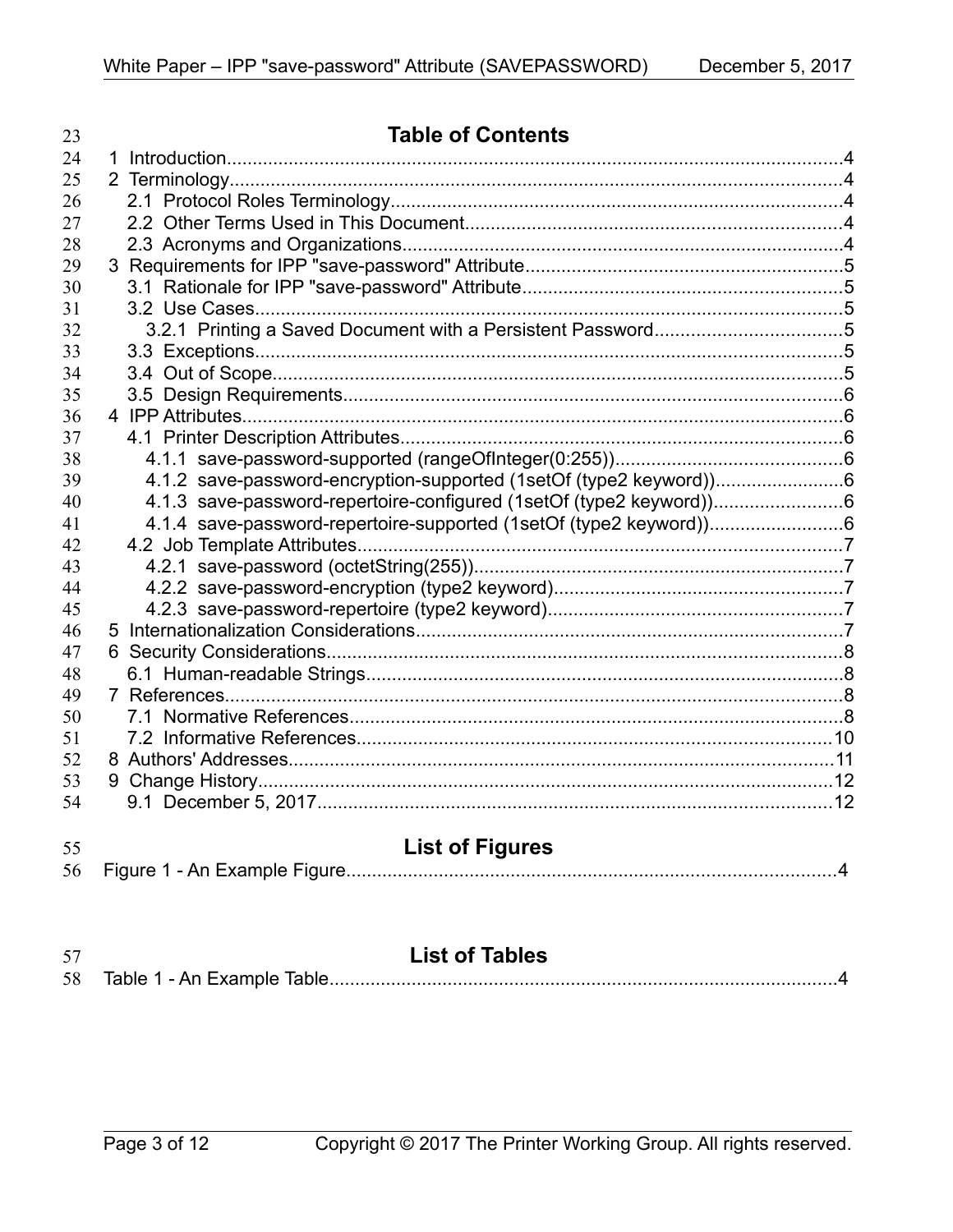| 23 | <b>Table of Contents</b>                                            |  |
|----|---------------------------------------------------------------------|--|
| 24 |                                                                     |  |
| 25 |                                                                     |  |
| 26 |                                                                     |  |
| 27 |                                                                     |  |
| 28 |                                                                     |  |
| 29 |                                                                     |  |
| 30 |                                                                     |  |
| 31 |                                                                     |  |
| 32 |                                                                     |  |
| 33 |                                                                     |  |
| 34 |                                                                     |  |
| 35 |                                                                     |  |
| 36 |                                                                     |  |
| 37 |                                                                     |  |
| 38 |                                                                     |  |
| 39 | 4.1.2 save-password-encryption-supported (1setOf (type2 keyword))6  |  |
| 40 | 4.1.3 save-password-repertoire-configured (1setOf (type2 keyword))6 |  |
| 41 |                                                                     |  |
| 42 |                                                                     |  |
| 43 |                                                                     |  |
| 44 |                                                                     |  |
| 45 |                                                                     |  |
| 46 |                                                                     |  |
| 47 |                                                                     |  |
| 48 |                                                                     |  |
| 49 |                                                                     |  |
| 50 |                                                                     |  |
| 51 |                                                                     |  |
| 52 |                                                                     |  |
| 53 |                                                                     |  |
| 54 |                                                                     |  |
| 55 | <b>List of Figures</b>                                              |  |
| 56 |                                                                     |  |

| 57 | <b>List of Tables</b> |
|----|-----------------------|
|    |                       |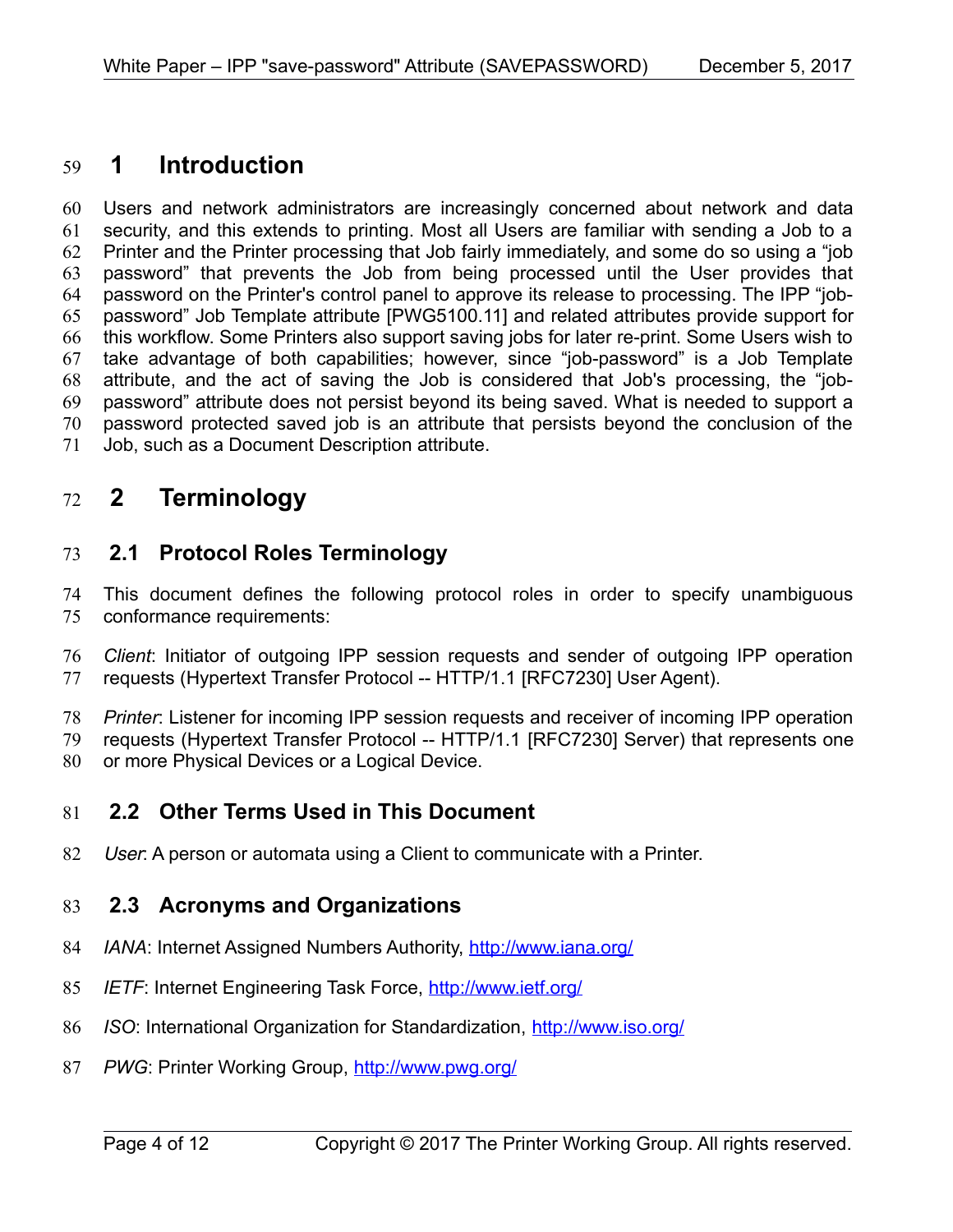## **1 Introduction** 59

Users and network administrators are increasingly concerned about network and data security, and this extends to printing. Most all Users are familiar with sending a Job to a Printer and the Printer processing that Job fairly immediately, and some do so using a "job password" that prevents the Job from being processed until the User provides that password on the Printer's control panel to approve its release to processing. The IPP "jobpassword" Job Template attribute [\[PWG5100.11\]](#page-9-0) and related attributes provide support for this workflow. Some Printers also support saving jobs for later re-print. Some Users wish to take advantage of both capabilities; however, since "job-password" is a Job Template attribute, and the act of saving the Job is considered that Job's processing, the "jobpassword" attribute does not persist beyond its being saved. What is needed to support a password protected saved job is an attribute that persists beyond the conclusion of the Job, such as a Document Description attribute. 60 61 62 63 64 65 66 67 68 69 70 71

## **2 Terminology** 72

#### **2.1 Protocol Roles Terminology** 73

This document defines the following protocol roles in order to specify unambiguous conformance requirements: 74 75

*Client*: Initiator of outgoing IPP session requests and sender of outgoing IPP operation requests (Hypertext Transfer Protocol -- HTTP/1.1 [\[RFC7230\]](#page-8-0) User Agent). 76 77

*Printer*: Listener for incoming IPP session requests and receiver of incoming IPP operation requests (Hypertext Transfer Protocol -- HTTP/1.1 [\[RFC7230\]](#page-8-0) Server) that represents one or more Physical Devices or a Logical Device. 78 79 80

#### **2.2 Other Terms Used in This Document** 81

User: A person or automata using a Client to communicate with a Printer. 82

#### **2.3 Acronyms and Organizations** 83

- *IANA*: Internet Assigned Numbers Authority,<http://www.iana.org/> 84
- *IETF*: Internet Engineering Task Force,<http://www.ietf.org/> 85
- *ISO*: International Organization for Standardization,<http://www.iso.org/> 86
- *PWG*: Printer Working Group,<http://www.pwg.org/> 87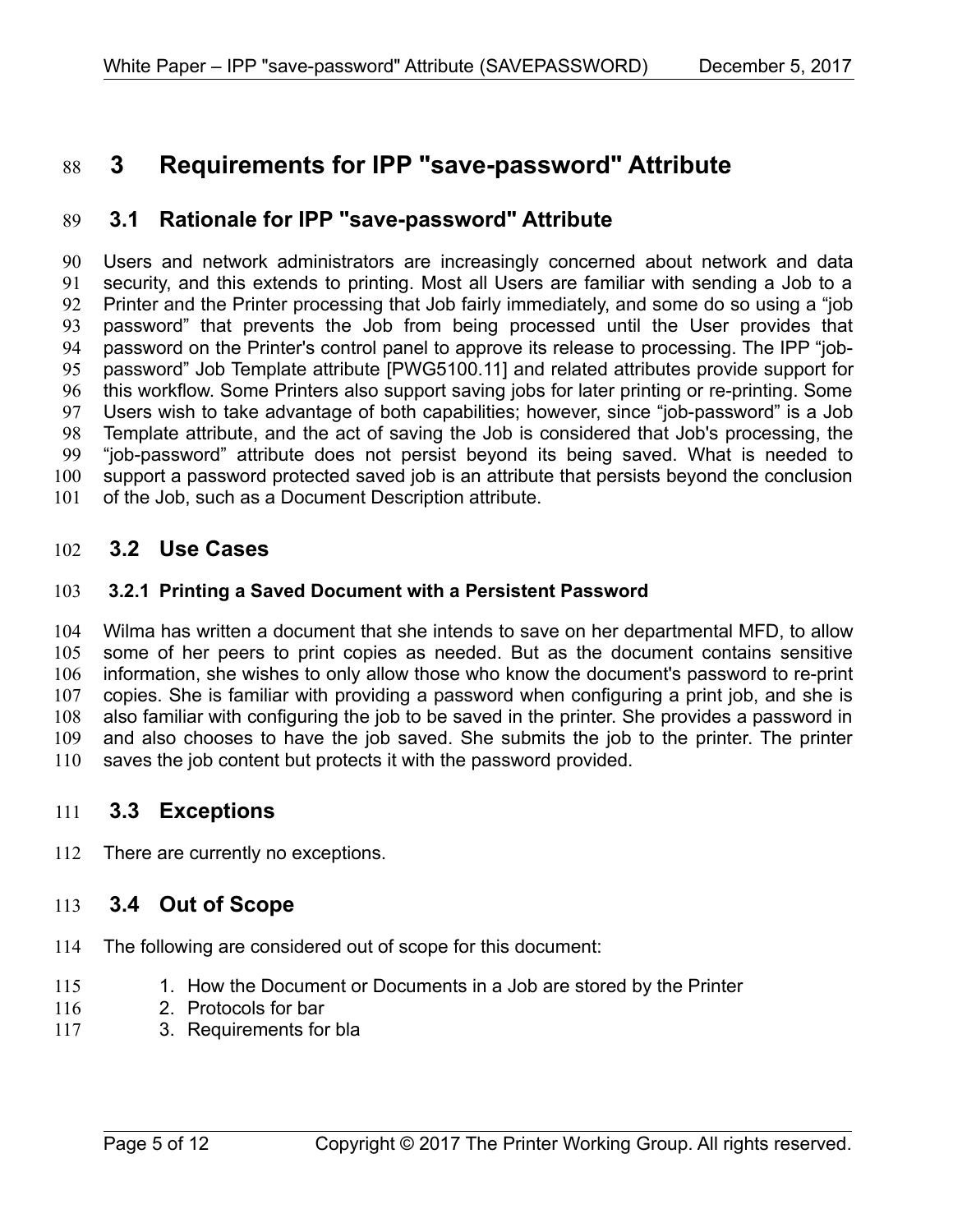## **3 Requirements for IPP "save-password" Attribute** 88

#### **3.1 Rationale for IPP "save-password" Attribute** 89

Users and network administrators are increasingly concerned about network and data security, and this extends to printing. Most all Users are familiar with sending a Job to a Printer and the Printer processing that Job fairly immediately, and some do so using a "job password" that prevents the Job from being processed until the User provides that password on the Printer's control panel to approve its release to processing. The IPP "jobpassword" Job Template attribute [\[PWG5100.11\]](#page-9-0) and related attributes provide support for this workflow. Some Printers also support saving jobs for later printing or re-printing. Some Users wish to take advantage of both capabilities; however, since "job-password" is a Job Template attribute, and the act of saving the Job is considered that Job's processing, the "job-password" attribute does not persist beyond its being saved. What is needed to support a password protected saved job is an attribute that persists beyond the conclusion of the Job, such as a Document Description attribute. 90 91 92 93 94 95 96 97 98 99 100 101

#### **3.2 Use Cases** 102

#### **3.2.1 Printing a Saved Document with a Persistent Password** 103

Wilma has written a document that she intends to save on her departmental MFD, to allow some of her peers to print copies as needed. But as the document contains sensitive information, she wishes to only allow those who know the document's password to re-print copies. She is familiar with providing a password when configuring a print job, and she is also familiar with configuring the job to be saved in the printer. She provides a password in and also chooses to have the job saved. She submits the job to the printer. The printer saves the job content but protects it with the password provided. 104 105 106 107 108 109 110

#### **3.3 Exceptions** 111

There are currently no exceptions. 112

#### **3.4 Out of Scope** 113

- The following are considered out of scope for this document: 114
- 1. How the Document or Documents in a Job are stored by the Printer 115
- 2. Protocols for bar 116
- 3. Requirements for bla 117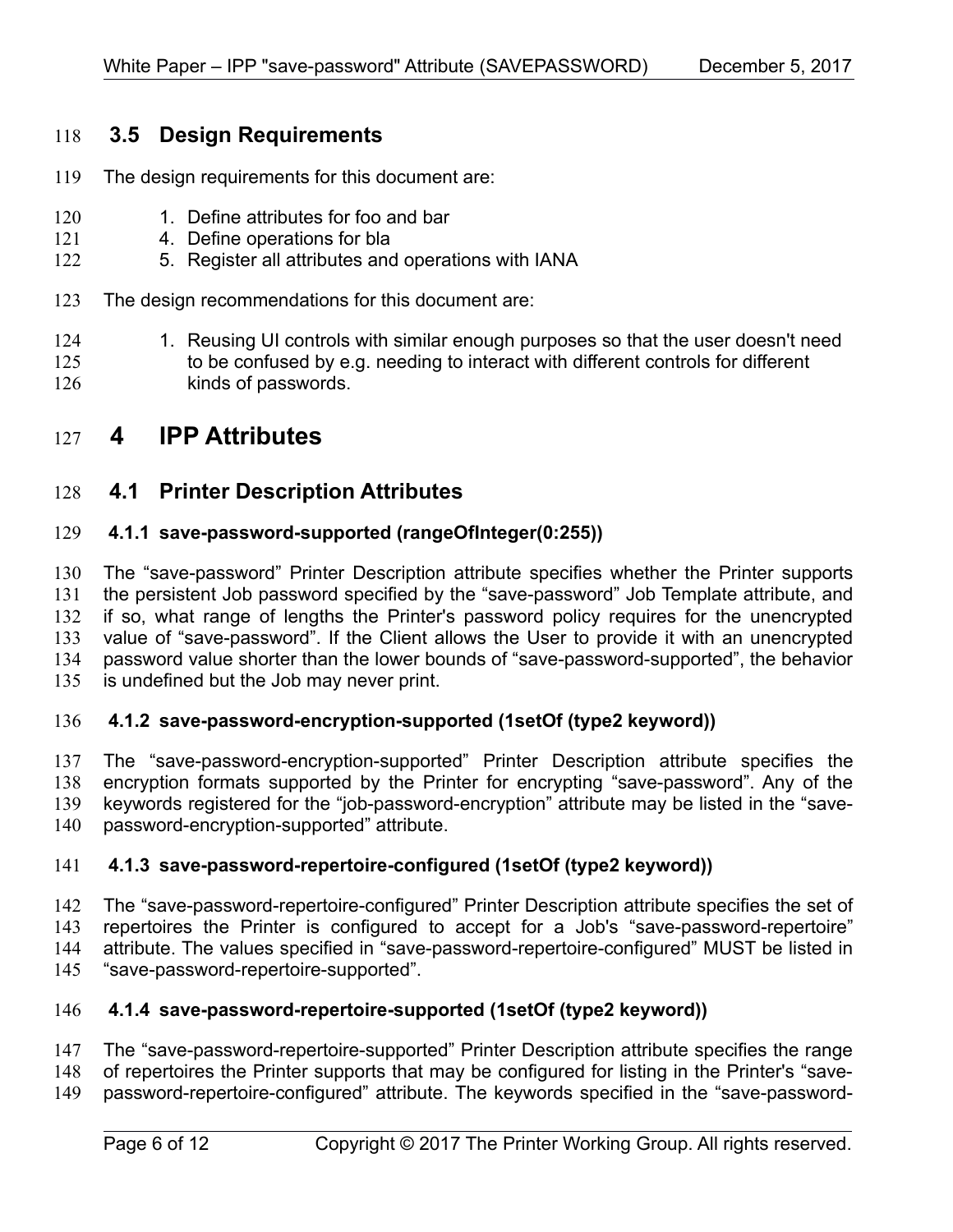#### **3.5 Design Requirements** 118

- The design requirements for this document are: 119
- 1. Define attributes for foo and bar 120
- 4. Define operations for bla 121
- 5. Register all attributes and operations with IANA 122
- The design recommendations for this document are: 123
- 1. Reusing UI controls with similar enough purposes so that the user doesn't need to be confused by e.g. needing to interact with different controls for different kinds of passwords. 124 125 126

## **4 IPP Attributes** 127

#### **4.1 Printer Description Attributes** 128

#### **4.1.1 save-password-supported (rangeOfInteger(0:255))** 129

The "save-password" Printer Description attribute specifies whether the Printer supports the persistent Job password specified by the "save-password" Job Template attribute, and if so, what range of lengths the Printer's password policy requires for the unencrypted value of "save-password". If the Client allows the User to provide it with an unencrypted password value shorter than the lower bounds of "save-password-supported", the behavior is undefined but the Job may never print. 130 131 132 133 134 135

#### **4.1.2 save-password-encryption-supported (1setOf (type2 keyword))** 136

The "save-password-encryption-supported" Printer Description attribute specifies the encryption formats supported by the Printer for encrypting "save-password". Any of the keywords registered for the "job-password-encryption" attribute may be listed in the "savepassword-encryption-supported" attribute. 137 138 139 140

#### **4.1.3 save-password-repertoire-configured (1setOf (type2 keyword))** 141

The "save-password-repertoire-configured" Printer Description attribute specifies the set of repertoires the Printer is configured to accept for a Job's "save-password-repertoire" attribute. The values specified in "save-password-repertoire-configured" MUST be listed in "save-password-repertoire-supported". 142 143 144 145

#### **4.1.4 save-password-repertoire-supported (1setOf (type2 keyword))** 146

The "save-password-repertoire-supported" Printer Description attribute specifies the range 147

of repertoires the Printer supports that may be configured for listing in the Printer's "save-148

password-repertoire-configured" attribute. The keywords specified in the "save-password-149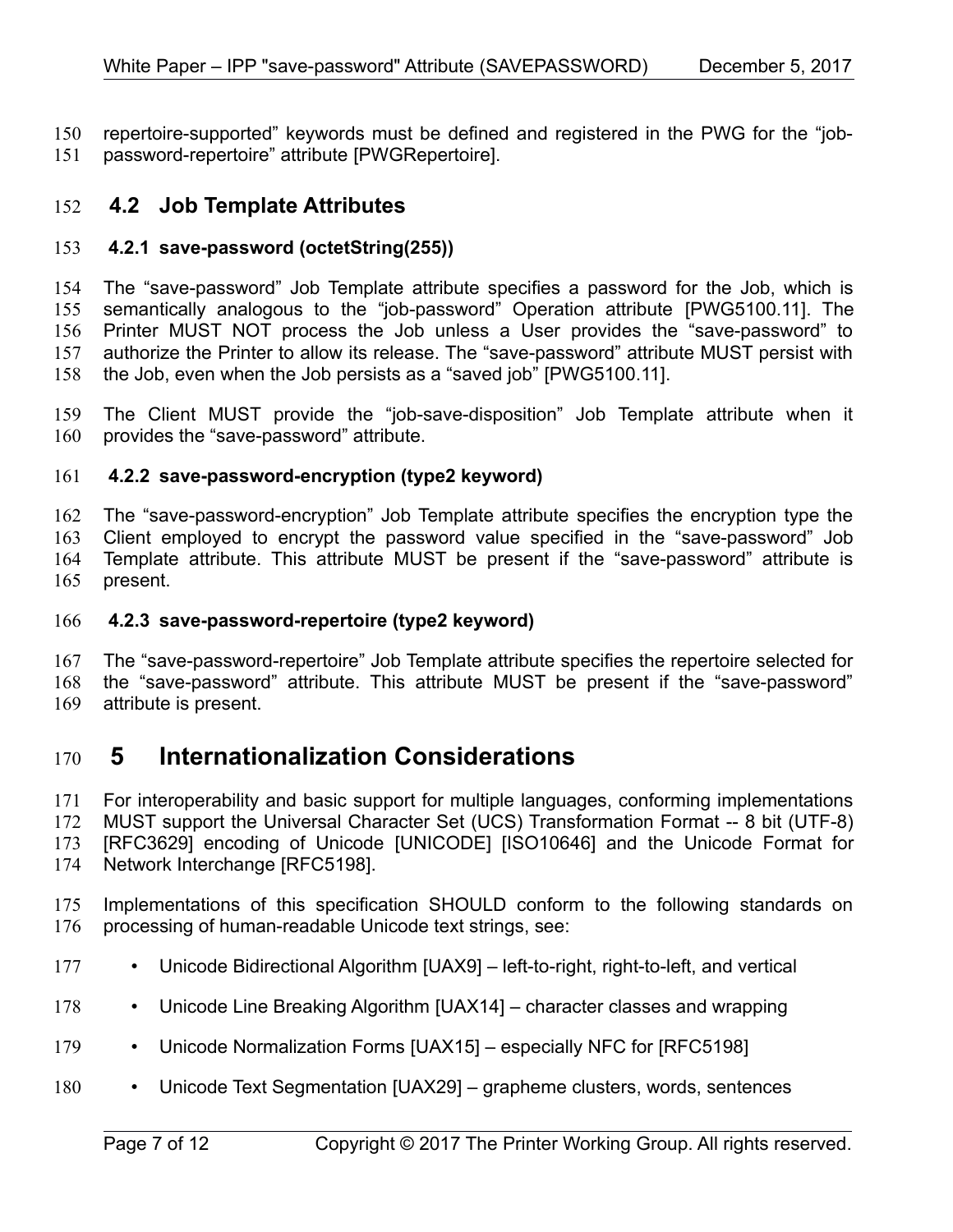repertoire-supported" keywords must be defined and registered in the PWG for the "jobpassword-repertoire" attribute [\[PWGRepertoire\].](#page-8-3) 150 151

#### **4.2 Job Template Attributes** 152

#### **4.2.1 save-password (octetString(255))** 153

The "save-password" Job Template attribute specifies a password for the Job, which is semantically analogous to the "job-password" Operation attribute [\[PWG5100.11\].](#page-9-0) The Printer MUST NOT process the Job unless a User provides the "save-password" to authorize the Printer to allow its release. The "save-password" attribute MUST persist with the Job, even when the Job persists as a "saved job" [\[PWG5100.11\].](#page-9-0) 154 155 156 157 158

The Client MUST provide the "job-save-disposition" Job Template attribute when it provides the "save-password" attribute. 159 160

#### **4.2.2 save-password-encryption (type2 keyword)** 161

The "save-password-encryption" Job Template attribute specifies the encryption type the Client employed to encrypt the password value specified in the "save-password" Job Template attribute. This attribute MUST be present if the "save-password" attribute is present. 162 163 164 165

#### **4.2.3 save-password-repertoire (type2 keyword)** 166

The "save-password-repertoire" Job Template attribute specifies the repertoire selected for the "save-password" attribute. This attribute MUST be present if the "save-password" attribute is present. 167 168 169

### **5 Internationalization Considerations** 170

For interoperability and basic support for multiple languages, conforming implementations MUST support the Universal Character Set (UCS) Transformation Format -- 8 bit (UTF-8) [RFC3629] encoding of Unicode [\[UNICODE\]](#page-9-4) [\[ISO10646\]](#page-7-0) and the Unicode Format for Network Interchange [\[RFC5198\].](#page-8-1) 171 172 173 174

- Implementations of this specification SHOULD conform to the following standards on processing of human-readable Unicode text strings, see: 175 176
- Unicode Bidirectional Algorithm [\[UAX9\]](#page-8-2)  left-to-right, right-to-left, and vertical 177
- Unicode Line Breaking Algorithm [\[UAX14\]](#page-9-3)  character classes and wrapping 178
- Unicode Normalization Forms [\[UAX15\]](#page-9-2)  especially NFC for [\[RFC5198\]](#page-8-1) 179
- Unicode Text Segmentation [\[UAX29\]](#page-9-1)  grapheme clusters, words, sentences 180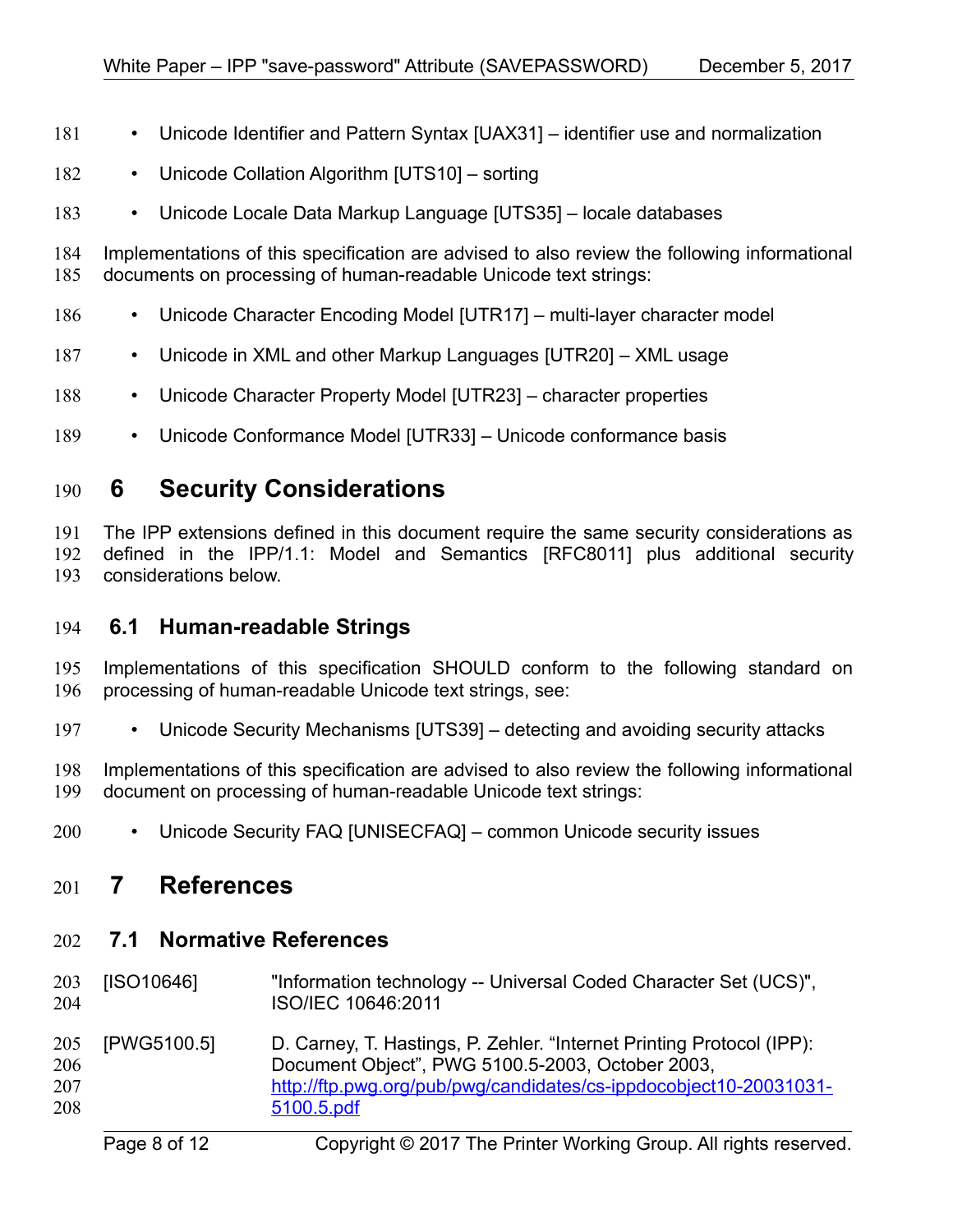- Unicode Identifier and Pattern Syntax [\[UAX31\]](#page-9-13)  identifier use and normalization 181
- Unicode Collation Algorithm [\[UTS10\]](#page-9-12)  sorting 182
- Unicode Locale Data Markup Language [\[UTS35\]](#page-9-11)  locale databases 183

Implementations of this specification are advised to also review the following informational documents on processing of human-readable Unicode text strings: 184 185

- Unicode Character Encoding Model [\[UTR17\]](#page-9-10)  multi-layer character model 186
- Unicode in XML and other Markup Languages [\[UTR20\]](#page-9-9)  XML usage 187
- Unicode Character Property Model [\[UTR23\]](#page-9-8)  character properties 188
- Unicode Conformance Model [\[UTR33\]](#page-9-7)  Unicode conformance basis 189

## **6 Security Considerations** 190

The IPP extensions defined in this document require the same security considerations as defined in the IPP/1.1: Model and Semantics [\[RFC8011\]](#page-8-4) plus additional security considerations below. 191 192 193

#### **6.1 Human-readable Strings**  194

Implementations of this specification SHOULD conform to the following standard on processing of human-readable Unicode text strings, see: 195 196

• Unicode Security Mechanisms [\[UTS39\]](#page-9-6) – detecting and avoiding security attacks 197

Implementations of this specification are advised to also review the following informational document on processing of human-readable Unicode text strings: 198 199

• Unicode Security FAQ [\[UNISECFAQ\]](#page-9-5) – common Unicode security issues 200

#### **7 References** 201

#### **7.1 Normative References** 202

<span id="page-7-0"></span>

| 203<br>204               | [ISO10646]  | "Information technology -- Universal Coded Character Set (UCS)",<br>ISO/IEC 10646:2011                                                                                                                       |
|--------------------------|-------------|--------------------------------------------------------------------------------------------------------------------------------------------------------------------------------------------------------------|
| 205<br>206<br>207<br>208 | [PWG5100.5] | D. Carney, T. Hastings, P. Zehler. "Internet Printing Protocol (IPP):<br>Document Object", PWG 5100.5-2003, October 2003,<br>http://ftp.pwg.org/pub/pwg/candidates/cs-ippdocobject10-20031031-<br>5100.5.pdf |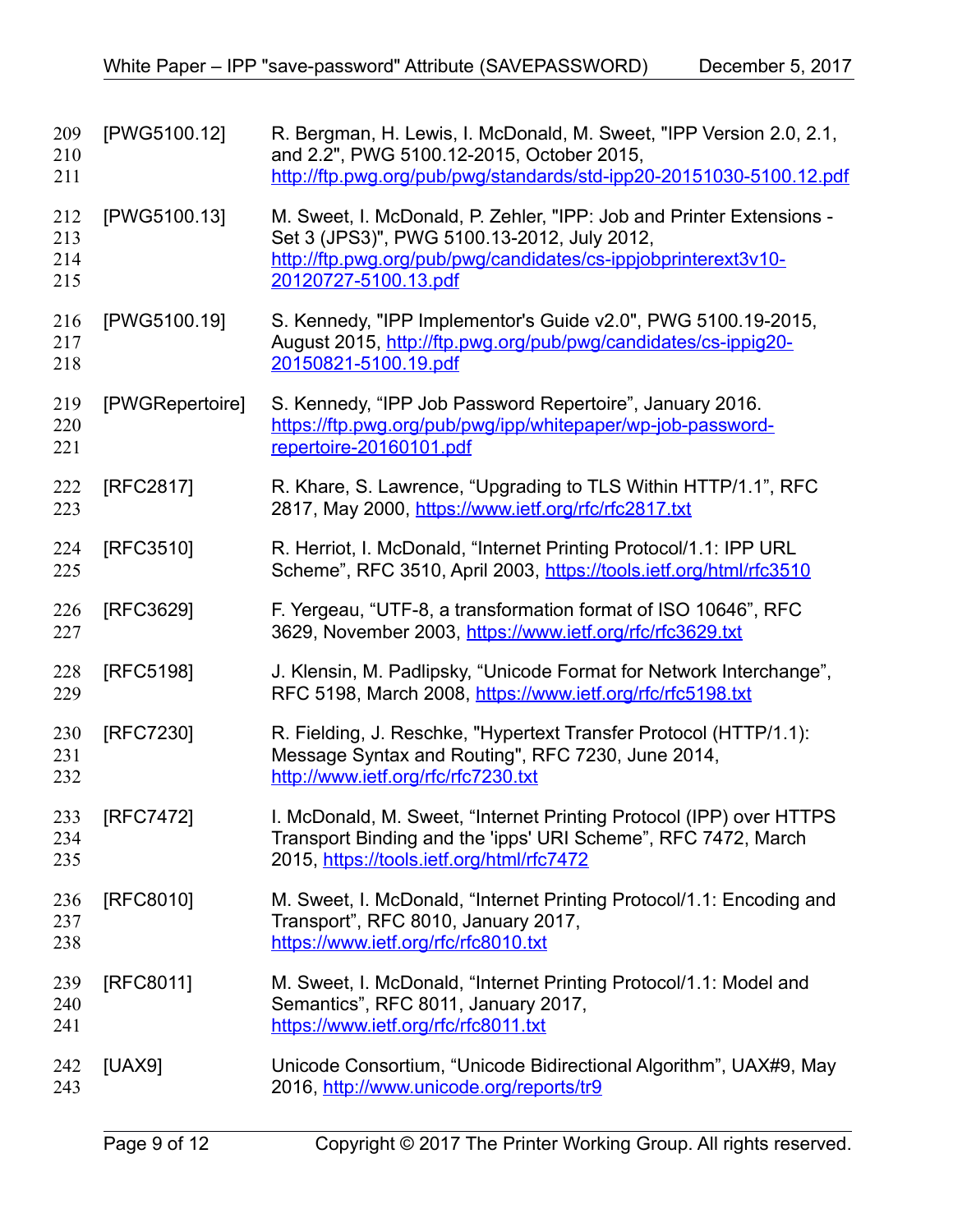<span id="page-8-4"></span><span id="page-8-3"></span><span id="page-8-2"></span><span id="page-8-1"></span><span id="page-8-0"></span>

| 209<br>210<br>211        | [PWG5100.12]    | R. Bergman, H. Lewis, I. McDonald, M. Sweet, "IPP Version 2.0, 2.1,<br>and 2.2", PWG 5100.12-2015, October 2015,<br>http://ftp.pwg.org/pub/pwg/standards/std-ipp20-20151030-5100.12.pdf                       |
|--------------------------|-----------------|---------------------------------------------------------------------------------------------------------------------------------------------------------------------------------------------------------------|
| 212<br>213<br>214<br>215 | [PWG5100.13]    | M. Sweet, I. McDonald, P. Zehler, "IPP: Job and Printer Extensions -<br>Set 3 (JPS3)", PWG 5100.13-2012, July 2012,<br>http://ftp.pwg.org/pub/pwg/candidates/cs-ippjobprinterext3v10-<br>20120727-5100.13.pdf |
| 216<br>217<br>218        | [PWG5100.19]    | S. Kennedy, "IPP Implementor's Guide v2.0", PWG 5100.19-2015,<br>August 2015, http://ftp.pwg.org/pub/pwg/candidates/cs-ippig20-<br>20150821-5100.19.pdf                                                       |
| 219<br>220<br>221        | [PWGRepertoire] | S. Kennedy, "IPP Job Password Repertoire", January 2016.<br>https://ftp.pwg.org/pub/pwg/ipp/whitepaper/wp-job-password-<br>repertoire-20160101.pdf                                                            |
| 222<br>223               | [RFC2817]       | R. Khare, S. Lawrence, "Upgrading to TLS Within HTTP/1.1", RFC<br>2817, May 2000, https://www.ietf.org/rfc/rfc2817.txt                                                                                        |
| 224<br>225               | [RFC3510]       | R. Herriot, I. McDonald, "Internet Printing Protocol/1.1: IPP URL<br>Scheme", RFC 3510, April 2003, https://tools.ietf.org/html/rfc3510                                                                       |
| 226<br>227               | [RFC3629]       | F. Yergeau, "UTF-8, a transformation format of ISO 10646", RFC<br>3629, November 2003, https://www.ietf.org/rfc/rfc3629.txt                                                                                   |
| 228<br>229               | [RFC5198]       | J. Klensin, M. Padlipsky, "Unicode Format for Network Interchange",<br>RFC 5198, March 2008, https://www.ietf.org/rfc/rfc5198.txt                                                                             |
| 230<br>231<br>232        | [RFC7230]       | R. Fielding, J. Reschke, "Hypertext Transfer Protocol (HTTP/1.1):<br>Message Syntax and Routing", RFC 7230, June 2014,<br>http://www.ietf.org/rfc/rfc7230.txt                                                 |
| 233<br>234<br>235        | [RFC7472]       | I. McDonald, M. Sweet, "Internet Printing Protocol (IPP) over HTTPS<br>Transport Binding and the 'ipps' URI Scheme", RFC 7472, March<br>2015, https://tools.ietf.org/html/rfc7472                             |
| 236<br>237<br>238        | [RFC8010]       | M. Sweet, I. McDonald, "Internet Printing Protocol/1.1: Encoding and<br>Transport", RFC 8010, January 2017,<br>https://www.ietf.org/rfc/rfc8010.txt                                                           |
| 239<br>240<br>241        | [RFC8011]       | M. Sweet, I. McDonald, "Internet Printing Protocol/1.1: Model and<br>Semantics", RFC 8011, January 2017,<br>https://www.ietf.org/rfc/rfc8011.txt                                                              |
| 242<br>243               | [UAX9]          | Unicode Consortium, "Unicode Bidirectional Algorithm", UAX#9, May<br>2016, http://www.unicode.org/reports/tr9                                                                                                 |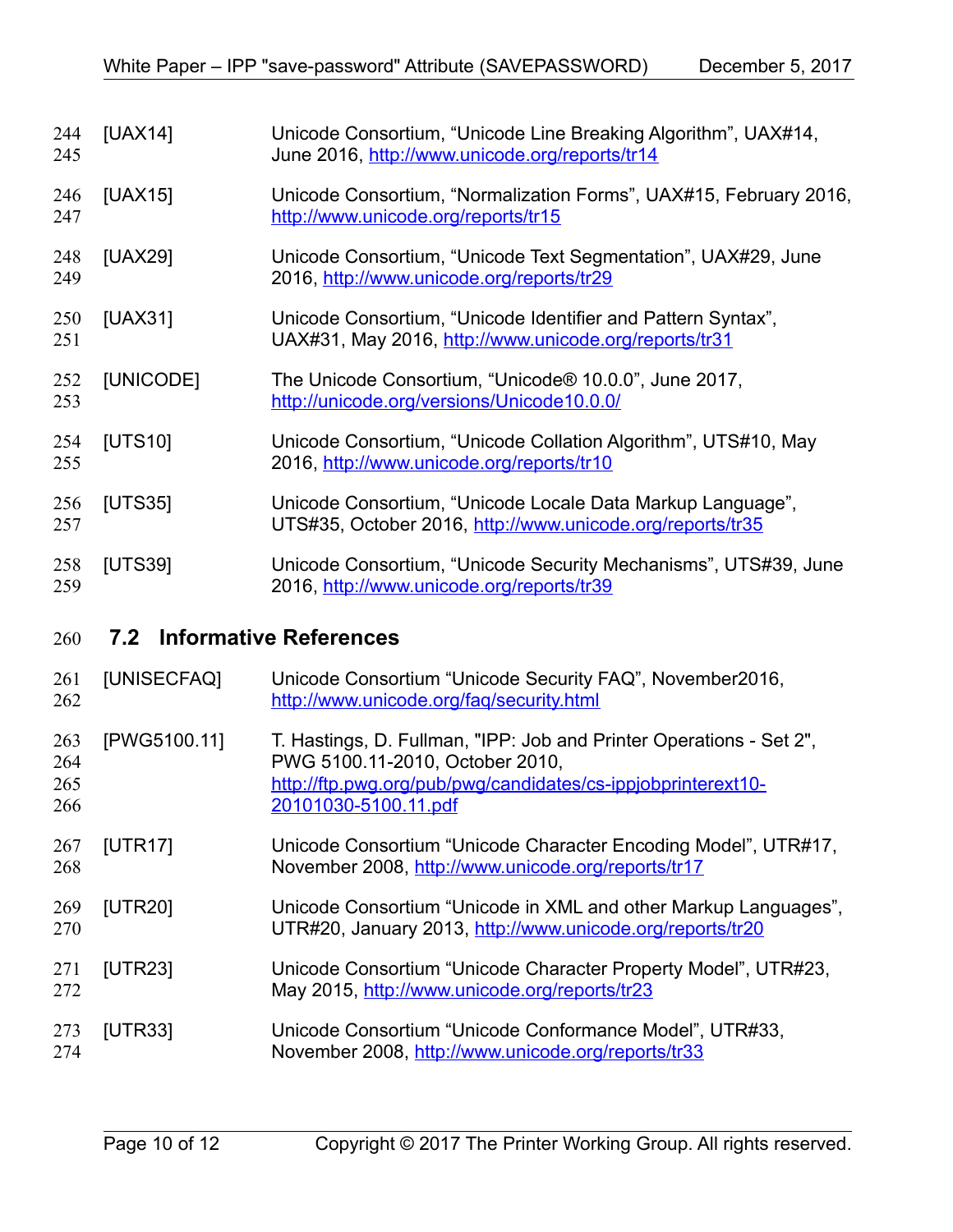<span id="page-9-13"></span><span id="page-9-12"></span><span id="page-9-11"></span><span id="page-9-4"></span><span id="page-9-3"></span><span id="page-9-2"></span><span id="page-9-1"></span>

| 244<br>245               | [UAX14]      | Unicode Consortium, "Unicode Line Breaking Algorithm", UAX#14,<br>June 2016, http://www.unicode.org/reports/tr14                                                                               |
|--------------------------|--------------|------------------------------------------------------------------------------------------------------------------------------------------------------------------------------------------------|
| 246<br>247               | [UAX15]      | Unicode Consortium, "Normalization Forms", UAX#15, February 2016,<br>http://www.unicode.org/reports/tr15                                                                                       |
| 248<br>249               | [UAX29]      | Unicode Consortium, "Unicode Text Segmentation", UAX#29, June<br>2016, http://www.unicode.org/reports/tr29                                                                                     |
| 250<br>251               | [UAX31]      | Unicode Consortium, "Unicode Identifier and Pattern Syntax",<br>UAX#31, May 2016, http://www.unicode.org/reports/tr31                                                                          |
| 252<br>253               | [UNICODE]    | The Unicode Consortium, "Unicode® 10.0.0", June 2017,<br>http://unicode.org/versions/Unicode10.0.0/                                                                                            |
| 254<br>255               | [UTS10]      | Unicode Consortium, "Unicode Collation Algorithm", UTS#10, May<br>2016, http://www.unicode.org/reports/tr10                                                                                    |
| 256<br>257               | [UTS35]      | Unicode Consortium, "Unicode Locale Data Markup Language",<br>UTS#35, October 2016, http://www.unicode.org/reports/tr35                                                                        |
| 258<br>259               | [UTS39]      | Unicode Consortium, "Unicode Security Mechanisms", UTS#39, June<br>2016, http://www.unicode.org/reports/tr39                                                                                   |
| 260                      | 7.2          | <b>Informative References</b>                                                                                                                                                                  |
| 261<br>262               | [UNISECFAQ]  | Unicode Consortium "Unicode Security FAQ", November2016,<br>http://www.unicode.org/faq/security.html                                                                                           |
| 263<br>264<br>265<br>266 | [PWG5100.11] | T. Hastings, D. Fullman, "IPP: Job and Printer Operations - Set 2",<br>PWG 5100.11-2010, October 2010,<br>http://ftp.pwg.org/pub/pwg/candidates/cs-ippjobprinterext10-<br>20101030-5100.11.pdf |
| 267<br>268               | [UTR17]      | Unicode Consortium "Unicode Character Encoding Model", UTR#17,<br>November 2008, http://www.unicode.org/reports/tr17                                                                           |
| 269<br>270               | [UTR20]      | Unicode Consortium "Unicode in XML and other Markup Languages",<br>UTR#20, January 2013, http://www.unicode.org/reports/tr20                                                                   |

- <span id="page-9-10"></span><span id="page-9-9"></span><span id="page-9-8"></span><span id="page-9-6"></span><span id="page-9-5"></span><span id="page-9-0"></span>[UTR23] Unicode Consortium "Unicode Character Property Model", UTR#23, May 2015,<http://www.unicode.org/reports/tr23> 271 272
- <span id="page-9-7"></span>[UTR33] Unicode Consortium "Unicode Conformance Model", UTR#33, November 2008,<http://www.unicode.org/reports/tr33> 273 274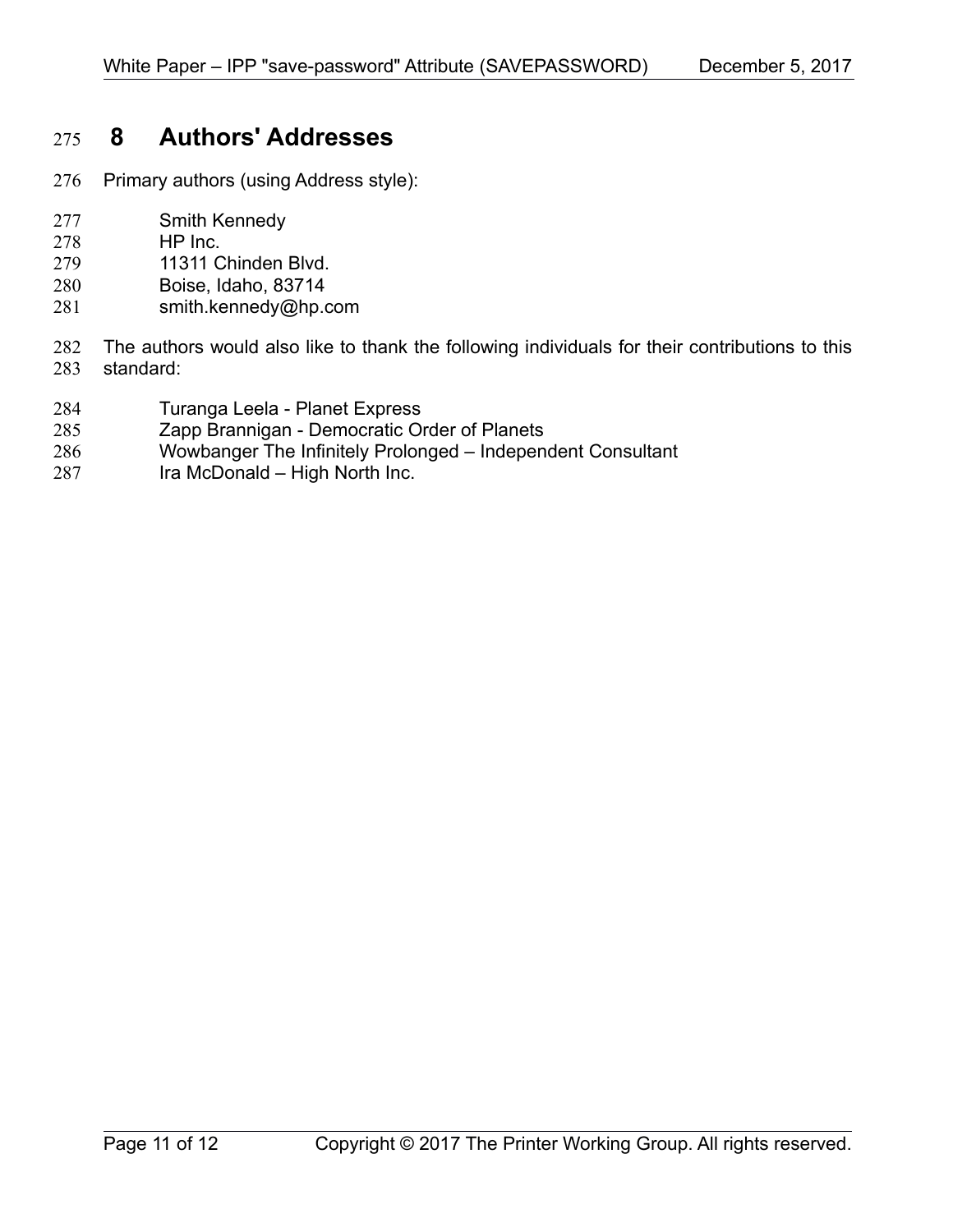## **8 Authors' Addresses** 275

- Primary authors (using Address style): 276
- Smith Kennedy 277
- HP Inc. 278
- 11311 Chinden Blvd. 279
- Boise, Idaho, 83714 280
- smith.kennedy@hp.com 281
- The authors would also like to thank the following individuals for their contributions to this standard: 282 283
- Turanga Leela Planet Express 284
- Zapp Brannigan Democratic Order of Planets 285
- Wowbanger The Infinitely Prolonged Independent Consultant 286
- Ira McDonald High North Inc. 287